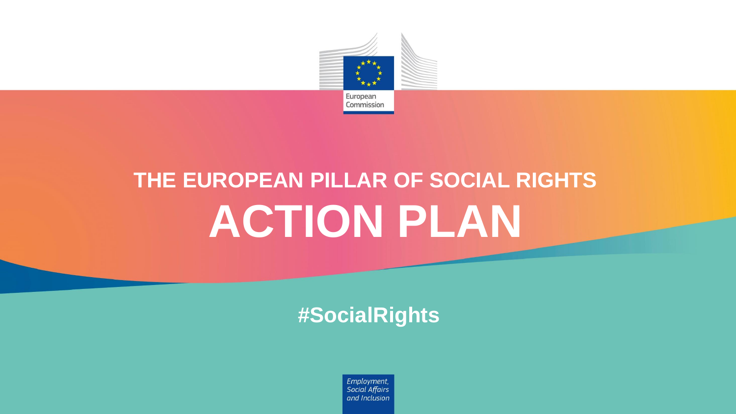

# **THE EUROPEAN PILLAR OF SOCIAL RIGHTS ACTION PLAN**

#### **#SocialRights**

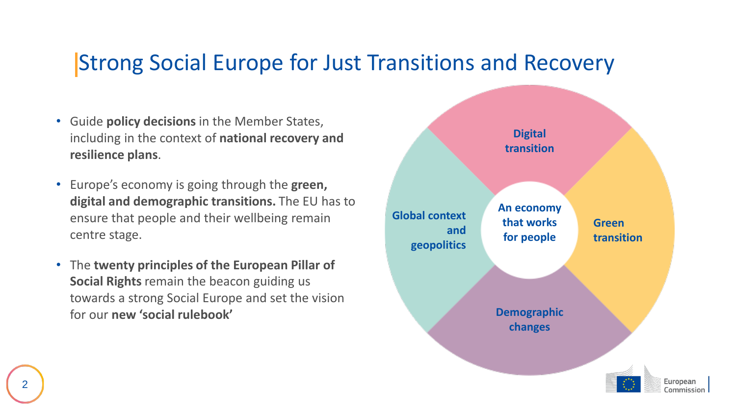#### Strong Social Europe for Just Transitions and Recovery

- Guide **policy decisions** in the Member States, including in the context of **national recovery and resilience plans**.
- Europe's economy is going through the **green, digital and demographic transitions.** The EU has to ensure that people and their wellbeing remain centre stage.
- The **twenty principles of the European Pillar of Social Rights** remain the beacon guiding us towards a strong Social Europe and set the vision for our **new 'social rulebook'**

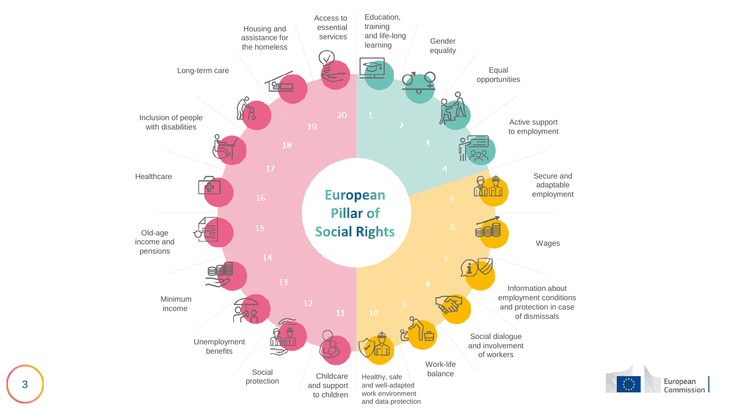

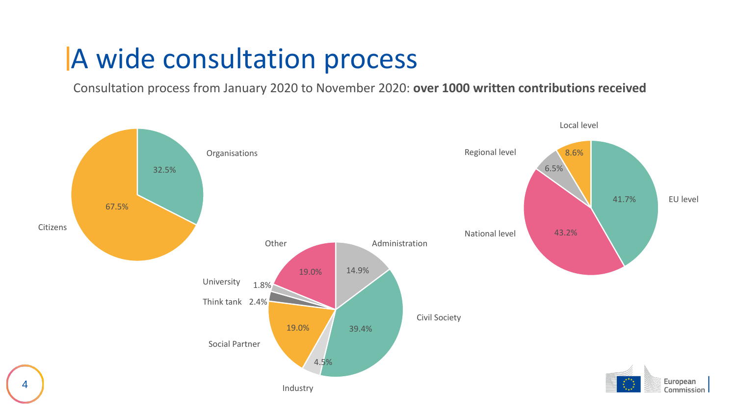#### A wide consultation process

Consultation process from January 2020 to November 2020: **over 1000 written contributions received**

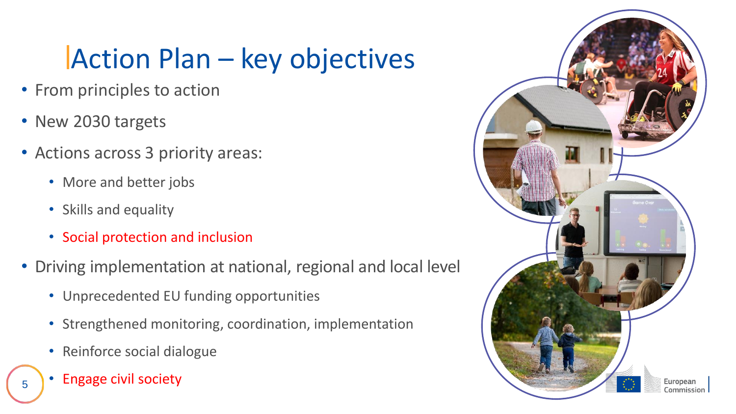## Action Plan – key objectives

- From principles to action
- New 2030 targets
- Actions across 3 priority areas:
	- More and better jobs
	- Skills and equality
	- Social protection and inclusion
- Driving implementation at national, regional and local level
	- Unprecedented EU funding opportunities
	- Strengthened monitoring, coordination, implementation
	- Reinforce social dialogue
	- Engage civil society

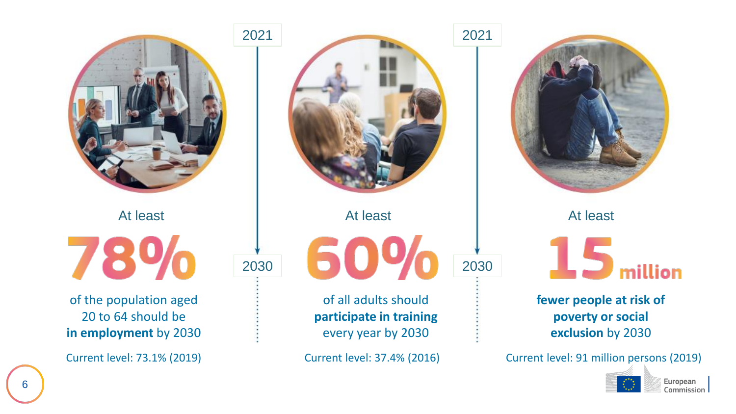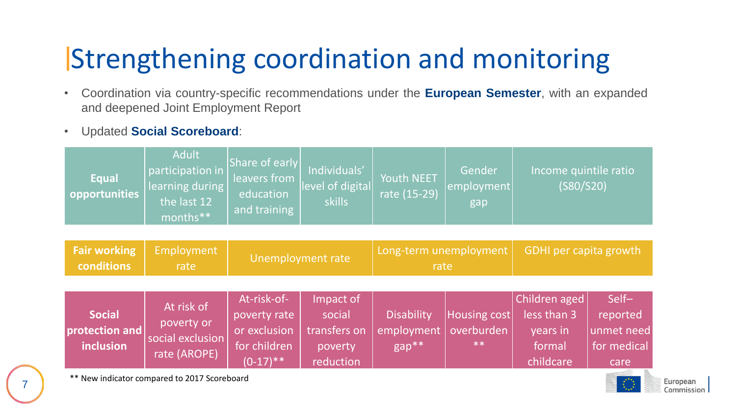## Strengthening coordination and monitoring

- Coordination via country-specific recommendations under the **European Semester**, with an expanded and deepened Joint Employment Report
- Updated **Social Scoreboard**:

**conditions**

| <b>Equal</b><br><b>Opportunities</b>               | <b>Adult</b><br>participation in<br>learning during<br>the last 12<br>months** | Share of early<br>leavers from<br>education<br>and training | Individuals'<br>level of digital<br>skills | Youth NEET<br>rate (15-29)                                  | Gender<br>employment<br>gap | Income quintile ratio<br>(S80/S20) |  |
|----------------------------------------------------|--------------------------------------------------------------------------------|-------------------------------------------------------------|--------------------------------------------|-------------------------------------------------------------|-----------------------------|------------------------------------|--|
|                                                    |                                                                                |                                                             |                                            |                                                             |                             |                                    |  |
| <b>Fair working</b><br>المستحدث والمقالة والمستحدث | Employment<br>and the state of the state of the                                | Unemployment rate                                           |                                            | Long-term unemployment<br>a company and the property of the |                             | GDHI per capita growth             |  |

|                |                                  | At-risk-of-  | Impact of    |                   |              | Children aged | Self-       |
|----------------|----------------------------------|--------------|--------------|-------------------|--------------|---------------|-------------|
| <b>Social</b>  | At risk of                       | poverty rate | social       | <b>Disability</b> | Housing cost | less than 3   | reported    |
| protection and | poverty or                       | or exclusion | transfers on | employment        | overburden   | years in      | unmet need  |
| inclusion      | social exclusion<br>rate (AROPE) | for children | poverty      | $gap**$           | $***$        | formal        | for medical |
|                |                                  | $(0-17)$ **  | reduction    |                   |              | childcare     | care        |

rate

\*\* New indicator compared to 2017 Scoreboard

rate

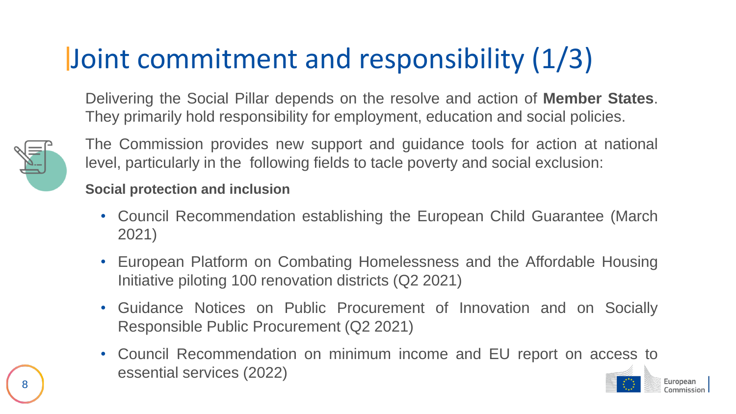## Joint commitment and responsibility (1/3)

Delivering the Social Pillar depends on the resolve and action of **Member States**. They primarily hold responsibility for employment, education and social policies.



The Commission provides new support and guidance tools for action at national level, particularly in the following fields to tacle poverty and social exclusion:

#### **Social protection and inclusion**

- Council Recommendation establishing the European Child Guarantee (March 2021)
- European Platform on Combating Homelessness and the Affordable Housing Initiative piloting 100 renovation districts (Q2 2021)
- Guidance Notices on Public Procurement of Innovation and on Socially Responsible Public Procurement (Q2 2021)
- Council Recommendation on minimum income and EU report on access to essential services (2022)

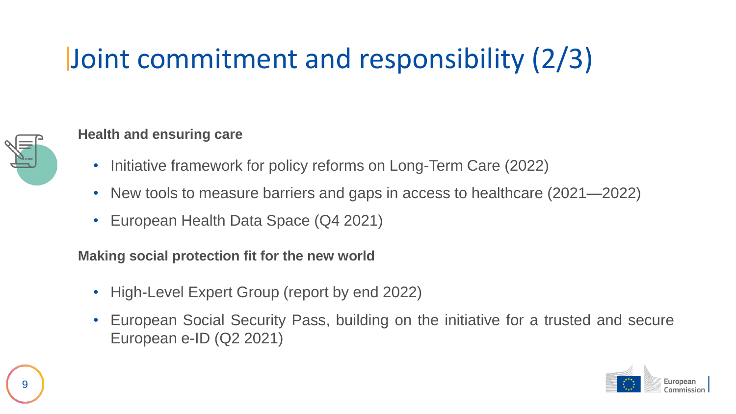## Joint commitment and responsibility (2/3)

#### **Health and ensuring care**

- Initiative framework for policy reforms on Long-Term Care (2022)
- New tools to measure barriers and gaps in access to healthcare (2021—2022)
- European Health Data Space (Q4 2021)

**Making social protection fit for the new world**

- High-Level Expert Group (report by end 2022)
- European Social Security Pass, building on the initiative for a trusted and secure European e-ID (Q2 2021)

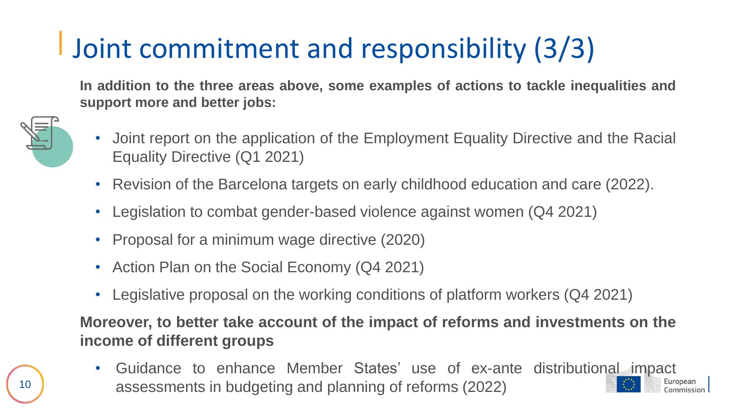## Joint commitment and responsibility (3/3)

**In addition to the three areas above, some examples of actions to tackle inequalities and support more and better jobs:**



- Joint report on the application of the Employment Equality Directive and the Racial Equality Directive (Q1 2021)
- Revision of the Barcelona targets on early childhood education and care (2022).
- Legislation to combat gender-based violence against women (Q4 2021)
- Proposal for a minimum wage directive (2020)
- Action Plan on the Social Economy (Q4 2021)
- Legislative proposal on the working conditions of platform workers (Q4 2021)

**Moreover, to better take account of the impact of reforms and investments on the income of different groups**

• Guidance to enhance Member States' use of ex-ante distributional impact assessments in budgeting and planning of reforms (2022)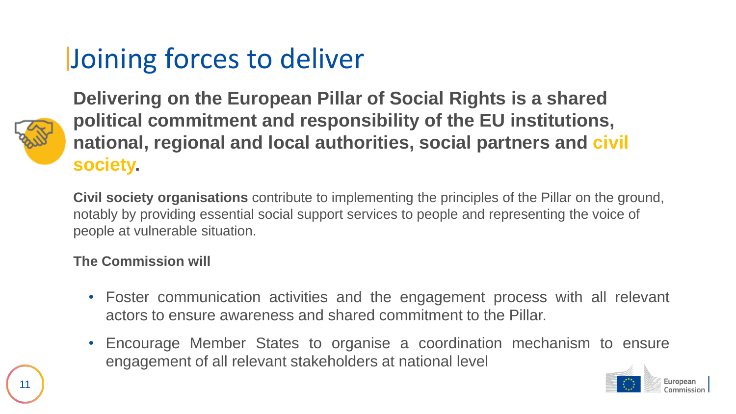## Joining forces to deliver



**Delivering on the European Pillar of Social Rights is a shared political commitment and responsibility of the EU institutions, national, regional and local authorities, social partners and civil society.**

**Civil society organisations** contribute to implementing the principles of the Pillar on the ground, notably by providing essential social support services to people and representing the voice of people at vulnerable situation.

#### **The Commission will**

- Foster communication activities and the engagement process with all relevant actors to ensure awareness and shared commitment to the Pillar.
- Encourage Member States to organise a coordination mechanism to ensure engagement of all relevant stakeholders at national level

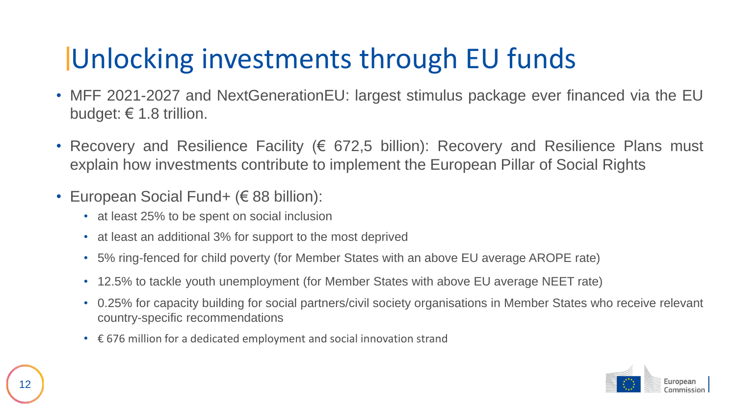### Unlocking investments through EU funds

- MFF 2021-2027 and NextGenerationEU: largest stimulus package ever financed via the EU budget:  $\epsilon$  1.8 trillion.
- Recovery and Resilience Facility (€ 672,5 billion): Recovery and Resilience Plans must explain how investments contribute to implement the European Pillar of Social Rights
- European Social Fund+ (€ 88 billion):
	- at least 25% to be spent on social inclusion
	- at least an additional 3% for support to the most deprived
	- 5% ring-fenced for child poverty (for Member States with an above EU average AROPE rate)
	- 12.5% to tackle youth unemployment (for Member States with above EU average NEET rate)
	- 0.25% for capacity building for social partners/civil society organisations in Member States who receive relevant country-specific recommendations
	- € 676 million for a dedicated employment and social innovation strand

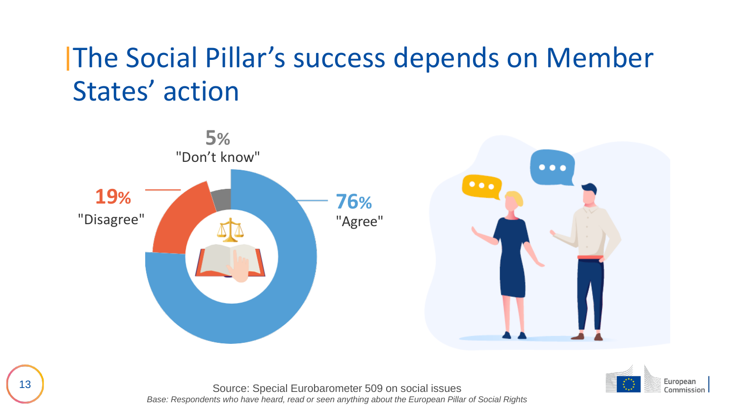### The Social Pillar's success depends on Member States' action





13 Source: Special Eurobarometer 509 on social issues *Base: Respondents who have heard, read or seen anything about the European Pillar of Social Rights*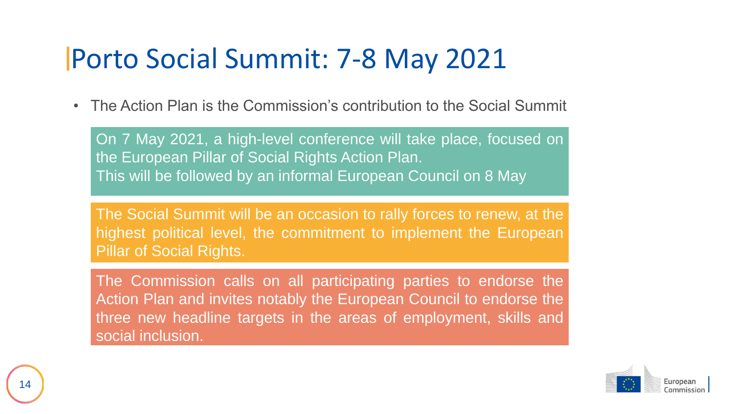#### Porto Social Summit: 7-8 May 2021

• The Action Plan is the Commission's contribution to the Social Summit

On 7 May 2021, a high-level conference will take place, focused on the European Pillar of Social Rights Action Plan. This will be followed by an informal European Council on 8 May

The Social Summit will be an occasion to rally forces to renew, at the highest political level, the commitment to implement the European Pillar of Social Rights.

The Commission calls on all participating parties to endorse the Action Plan and invites notably the European Council to endorse the three new headline targets in the areas of employment, skills and social inclusion.

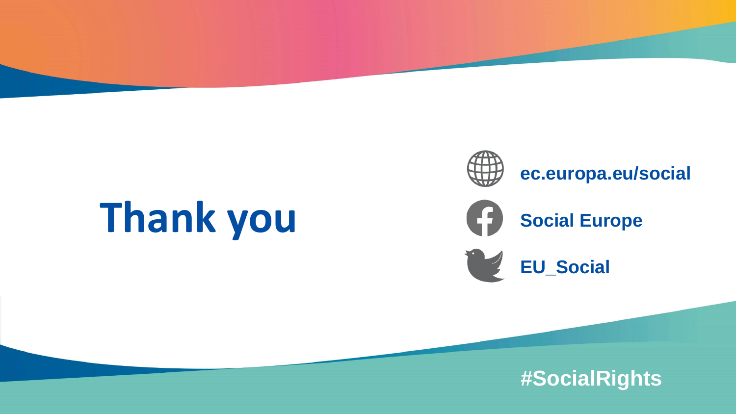# **Thank you**



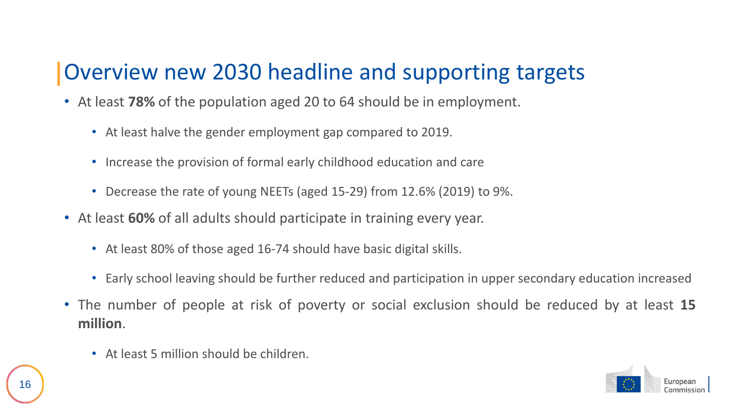#### Overview new 2030 headline and supporting targets

- At least **78%** of the population aged 20 to 64 should be in employment.
	- At least halve the gender employment gap compared to 2019.
	- Increase the provision of formal early childhood education and care
	- Decrease the rate of young NEETs (aged 15-29) from 12.6% (2019) to 9%.
- At least **60%** of all adults should participate in training every year.
	- At least 80% of those aged 16-74 should have basic digital skills.
	- Early school leaving should be further reduced and participation in upper secondary education increased
- The number of people at risk of poverty or social exclusion should be reduced by at least **15 million**.
	- At least 5 million should be children.

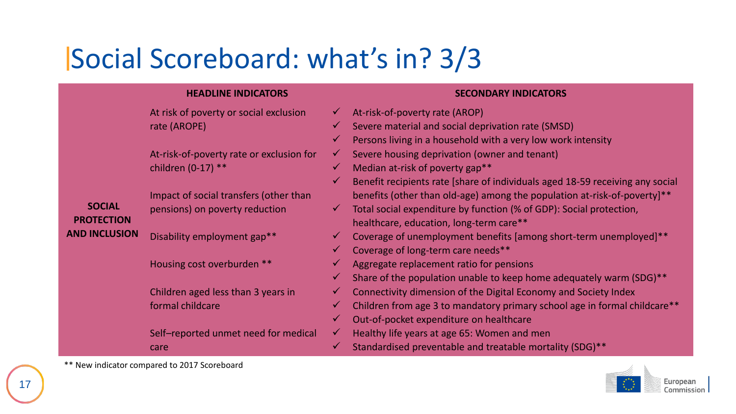#### Social Scoreboard: what's in? 3/3

#### **PROTECTION AND INCLUSION HEADLINE INDICATORS SECONDARY INDICATORS** At risk of poverty or social exclusion rate (AROPE) At-risk-of-poverty rate or exclusion for children (0-17) \*\* Impact of social transfers (other than pensions) on poverty reduction Disability employment gap\*\* At-risk-of-poverty rate (AROP) Severe material and social deprivation rate (SMSD) Persons living in a household with a very low work intensity  $\checkmark$  Severe housing deprivation (owner and tenant) Median at-risk of poverty gap\*\* Benefit recipients rate [share of individuals aged 18-59 receiving any social benefits (other than old-age) among the population at-risk-of-poverty]\*\*  $\checkmark$  Total social expenditure by function (% of GDP): Social protection, healthcare, education, long-term care\*\* Coverage of unemployment benefits [among short-term unemployed]\*\*

Coverage of long-term care needs\*\*

Aggregate replacement ratio for pensions

Share of the population unable to keep home adequately warm (SDG)\*\*

- $\checkmark$  Connectivity dimension of the Digital Economy and Society Index
- Children from age 3 to mandatory primary school age in formal childcare\*\*
- Out-of-pocket expenditure on healthcare

 $\checkmark$  Healthy life years at age 65: Women and men

Standardised preventable and treatable mortality (SDG)\*\*



\*\* New indicator compared to 2017 Scoreboard

care

Housing cost overburden \*\*

formal childcare

Children aged less than 3 years in

Self–reported unmet need for medical

**SOCIAL**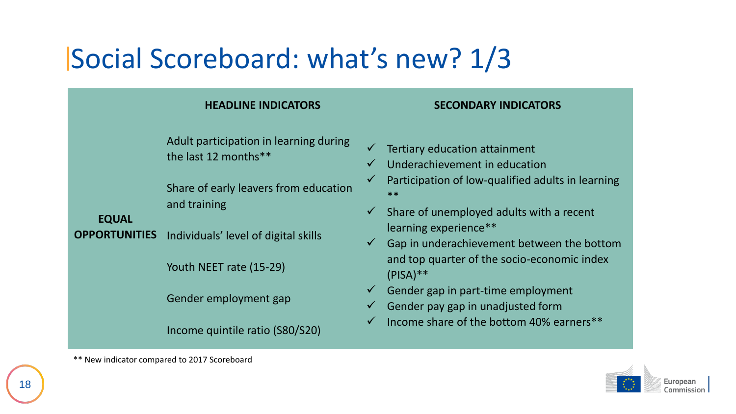#### Social Scoreboard: what's new? 1/3

Adult participation in learning during the last 12 months\*\*

Share of early leavers from education and training

**EQUAL** 

**OPPORTUNITIES** Individuals' level of digital skills

Youth NEET rate (15-29)

Gender employment gap

Income quintile ratio (S80/S20)

#### **HEADLINE INDICATORS SECONDARY INDICATORS**

- Tertiary education attainment
- Underachievement in education
- Participation of low-qualified adults in learning \*\*
- $\checkmark$  Share of unemployed adults with a recent learning experience\*\*
- $\checkmark$  Gap in underachievement between the bottom and top quarter of the socio-economic index (PISA)\*\*
- $\checkmark$  Gender gap in part-time employment
- Gender pay gap in unadjusted form
- $\checkmark$  Income share of the bottom 40% earners \*\*



\*\* New indicator compared to 2017 Scoreboard